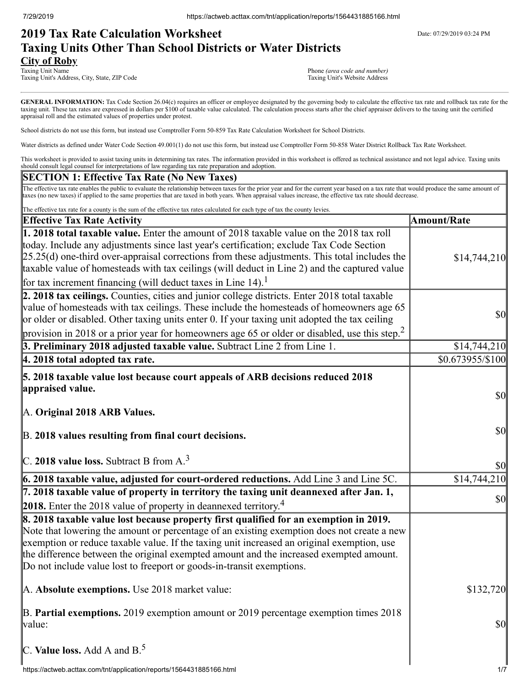# **2019 Tax Rate Calculation Worksheet** Department Date: 07/29/2019 03:24 PM **Taxing Units Other Than School Districts or Water Districts City of Roby**<br>Taxing Unit Name

Taxing Unit's Address, City, State, ZIP Code

Phone *(area code and number)*<br>Taxing Unit's Website Address

GENERAL INFORMATION: Tax Code Section 26.04(c) requires an officer or employee designated by the governing body to calculate the effective tax rate and rollback tax rate for the taxing unit. These tax rates are expressed in dollars per \$100 of taxable value calculated. The calculation process starts after the chief appraiser delivers to the taxing unit the certified appraisal roll and the estimated values of properties under protest.

School districts do not use this form, but instead use Comptroller Form 50-859 Tax Rate Calculation Worksheet for School Districts.

Water districts as defined under Water Code Section 49.001(1) do not use this form, but instead use Comptroller Form 50-858 Water District Rollback Tax Rate Worksheet.

This worksheet is provided to assist taxing units in determining tax rates. The information provided in this worksheet is offered as technical assistance and not legal advice. Taxing units should consult legal counsel for interpretations of law regarding tax rate preparation and adoption.

### **SECTION 1: Effective Tax Rate (No New Taxes)**

The effective tax rate enables the public to evaluate the relationship between taxes for the prior year and for the current year based on a tax rate that would produce the same amount of taxes (no new taxes) if applied to the same properties that are taxed in both years. When appraisal values increase, the effective tax rate should decrease.

| The effective tax rate for a county is the sum of the effective tax rates calculated for each type of tax the county levies.                                                                                                                                                                                                                                                                                                                                        |                                     |
|---------------------------------------------------------------------------------------------------------------------------------------------------------------------------------------------------------------------------------------------------------------------------------------------------------------------------------------------------------------------------------------------------------------------------------------------------------------------|-------------------------------------|
| <b>Effective Tax Rate Activity</b>                                                                                                                                                                                                                                                                                                                                                                                                                                  | <b>Amount/Rate</b>                  |
| 1. 2018 total taxable value. Enter the amount of 2018 taxable value on the 2018 tax roll<br>today. Include any adjustments since last year's certification; exclude Tax Code Section<br>$25.25(d)$ one-third over-appraisal corrections from these adjustments. This total includes the<br>taxable value of homesteads with tax ceilings (will deduct in Line 2) and the captured value<br>for tax increment financing (will deduct taxes in Line 14). <sup>1</sup> | \$14,744,210                        |
| 2. 2018 tax ceilings. Counties, cities and junior college districts. Enter 2018 total taxable<br>value of homesteads with tax ceilings. These include the homesteads of homeowners age 65<br>or older or disabled. Other taxing units enter 0. If your taxing unit adopted the tax ceiling<br>provision in 2018 or a prior year for homeowners age 65 or older or disabled, use this step. <sup>2</sup>                                                             | <b>\$0</b>                          |
| 3. Preliminary 2018 adjusted taxable value. Subtract Line 2 from Line 1.                                                                                                                                                                                                                                                                                                                                                                                            | \$14,744,210                        |
| 4. 2018 total adopted tax rate.                                                                                                                                                                                                                                                                                                                                                                                                                                     | \$0.673955/\$100                    |
| 5. 2018 taxable value lost because court appeals of ARB decisions reduced 2018<br>appraised value.<br>A. Original 2018 ARB Values.                                                                                                                                                                                                                                                                                                                                  | <b>\$0</b>                          |
| B. 2018 values resulting from final court decisions.<br>C. 2018 value loss. Subtract B from $A3$                                                                                                                                                                                                                                                                                                                                                                    | $\vert \mathbf{S} \mathbf{0} \vert$ |
|                                                                                                                                                                                                                                                                                                                                                                                                                                                                     | $ 10\rangle$                        |
| 6. 2018 taxable value, adjusted for court-ordered reductions. Add Line 3 and Line 5C.                                                                                                                                                                                                                                                                                                                                                                               | \$14,744,210                        |
| 7. 2018 taxable value of property in territory the taxing unit deannexed after Jan. 1,<br>2018. Enter the 2018 value of property in deannexed territory. <sup>4</sup>                                                                                                                                                                                                                                                                                               | $\vert \mathbf{S} \mathbf{O} \vert$ |
| 8. 2018 taxable value lost because property first qualified for an exemption in 2019.<br>Note that lowering the amount or percentage of an existing exemption does not create a new<br>exemption or reduce taxable value. If the taxing unit increased an original exemption, use<br>the difference between the original exempted amount and the increased exempted amount.<br>Do not include value lost to freeport or goods-in-transit exemptions.                |                                     |
| A. Absolute exemptions. Use 2018 market value:                                                                                                                                                                                                                                                                                                                                                                                                                      | \$132,720                           |
| B. Partial exemptions. 2019 exemption amount or 2019 percentage exemption times 2018<br>value:                                                                                                                                                                                                                                                                                                                                                                      | \$0                                 |
| C. Value loss. Add A and $B^5$                                                                                                                                                                                                                                                                                                                                                                                                                                      |                                     |
| https://actweb.acttax.com/tnt/application/reports/1564431885166.html                                                                                                                                                                                                                                                                                                                                                                                                | 1/7                                 |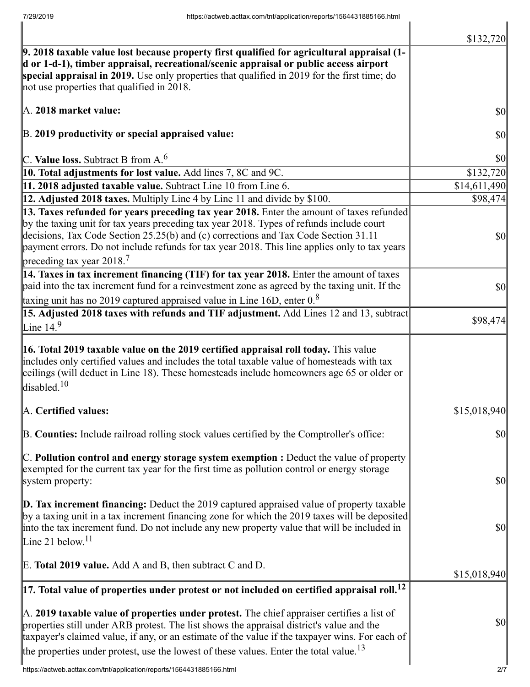|                                                                                                                                                                                                                                                                                                                                                                                                              | \$132,720                           |
|--------------------------------------------------------------------------------------------------------------------------------------------------------------------------------------------------------------------------------------------------------------------------------------------------------------------------------------------------------------------------------------------------------------|-------------------------------------|
| $\vert$ 9. 2018 taxable value lost because property first qualified for agricultural appraisal (1-<br>d or 1-d-1), timber appraisal, recreational/scenic appraisal or public access airport<br>special appraisal in 2019. Use only properties that qualified in 2019 for the first time; do<br>not use properties that qualified in 2018.                                                                    |                                     |
| A. 2018 market value:                                                                                                                                                                                                                                                                                                                                                                                        | \$0                                 |
| B. 2019 productivity or special appraised value:                                                                                                                                                                                                                                                                                                                                                             | \$0                                 |
| C. Value loss. Subtract B from $A6$                                                                                                                                                                                                                                                                                                                                                                          | \$0                                 |
| 10. Total adjustments for lost value. Add lines 7, 8C and 9C.                                                                                                                                                                                                                                                                                                                                                | \$132,720                           |
| 11. 2018 adjusted taxable value. Subtract Line 10 from Line 6.                                                                                                                                                                                                                                                                                                                                               | \$14,611,490                        |
| 12. Adjusted 2018 taxes. Multiply Line 4 by Line 11 and divide by \$100.                                                                                                                                                                                                                                                                                                                                     | \$98,474                            |
| [13. Taxes refunded for years preceding tax year 2018. Enter the amount of taxes refunded<br>by the taxing unit for tax years preceding tax year 2018. Types of refunds include court<br>decisions, Tax Code Section 25.25(b) and (c) corrections and Tax Code Section 31.11<br>payment errors. Do not include refunds for tax year 2018. This line applies only to tax years<br>preceding tax year $2018.7$ | \$0                                 |
| 14. Taxes in tax increment financing (TIF) for tax year 2018. Enter the amount of taxes<br>paid into the tax increment fund for a reinvestment zone as agreed by the taxing unit. If the<br>taxing unit has no 2019 captured appraised value in Line 16D, enter $0.8$                                                                                                                                        | \$0                                 |
| 15. Adjusted 2018 taxes with refunds and TIF adjustment. Add Lines 12 and 13, subtract                                                                                                                                                                                                                                                                                                                       |                                     |
| Line $14.9$                                                                                                                                                                                                                                                                                                                                                                                                  | \$98,474                            |
| <b>16. Total 2019 taxable value on the 2019 certified appraisal roll today.</b> This value<br>includes only certified values and includes the total taxable value of homesteads with tax<br>ceilings (will deduct in Line 18). These homesteads include homeowners age 65 or older or<br>disabled. <sup>10</sup>                                                                                             |                                     |
| A. Certified values:                                                                                                                                                                                                                                                                                                                                                                                         | \$15,018,940                        |
| B. Counties: Include railroad rolling stock values certified by the Comptroller's office:                                                                                                                                                                                                                                                                                                                    | \$0                                 |
| C. Pollution control and energy storage system exemption : Deduct the value of property<br>exempted for the current tax year for the first time as pollution control or energy storage<br>system property:                                                                                                                                                                                                   | $\vert \mathbf{S} \mathbf{O} \vert$ |
| <b>D. Tax increment financing:</b> Deduct the 2019 captured appraised value of property taxable<br>by a taxing unit in a tax increment financing zone for which the 2019 taxes will be deposited<br>into the tax increment fund. Do not include any new property value that will be included in<br>Line 21 below. <sup>11</sup>                                                                              | \$0                                 |
| E. Total 2019 value. Add A and B, then subtract C and D.                                                                                                                                                                                                                                                                                                                                                     | \$15,018,940                        |
| $\vert$ 17. Total value of properties under protest or not included on certified appraisal roll. <sup>12</sup>                                                                                                                                                                                                                                                                                               |                                     |
| A. 2019 taxable value of properties under protest. The chief appraiser certifies a list of<br>properties still under ARB protest. The list shows the appraisal district's value and the<br>taxpayer's claimed value, if any, or an estimate of the value if the taxpayer wins. For each of<br>the properties under protest, use the lowest of these values. Enter the total value. <sup>13</sup>             | \$0                                 |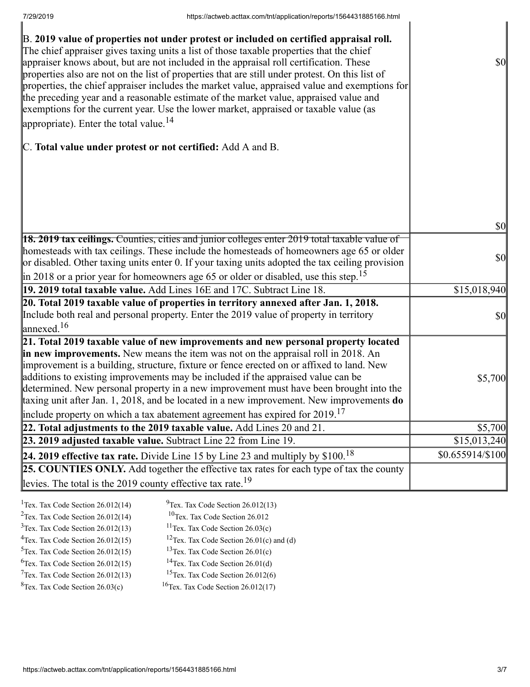| B. 2019 value of properties not under protest or included on certified appraisal roll.<br>The chief appraiser gives taxing units a list of those taxable properties that the chief<br>appraiser knows about, but are not included in the appraisal roll certification. These<br>properties also are not on the list of properties that are still under protest. On this list of<br>properties, the chief appraiser includes the market value, appraised value and exemptions for<br>the preceding year and a reasonable estimate of the market value, appraised value and<br>exemptions for the current year. Use the lower market, appraised or taxable value (as<br>appropriate). Enter the total value. <sup>14</sup> | $\vert \mathbf{S} \mathbf{0} \vert$ |
|--------------------------------------------------------------------------------------------------------------------------------------------------------------------------------------------------------------------------------------------------------------------------------------------------------------------------------------------------------------------------------------------------------------------------------------------------------------------------------------------------------------------------------------------------------------------------------------------------------------------------------------------------------------------------------------------------------------------------|-------------------------------------|
| C. Total value under protest or not certified: Add A and B.                                                                                                                                                                                                                                                                                                                                                                                                                                                                                                                                                                                                                                                              |                                     |
|                                                                                                                                                                                                                                                                                                                                                                                                                                                                                                                                                                                                                                                                                                                          |                                     |
|                                                                                                                                                                                                                                                                                                                                                                                                                                                                                                                                                                                                                                                                                                                          | \$0                                 |
| <b>18. 2019 tax ceilings.</b> Counties, cities and junior colleges enter 2019 total taxable value of<br>homesteads with tax ceilings. These include the homesteads of homeowners age 65 or older<br>or disabled. Other taxing units enter 0. If your taxing units adopted the tax ceiling provision<br>$\parallel$ in 2018 or a prior year for homeowners age 65 or older or disabled, use this step. <sup>15</sup>                                                                                                                                                                                                                                                                                                      | \$0                                 |
| 19. 2019 total taxable value. Add Lines 16E and 17C. Subtract Line 18.                                                                                                                                                                                                                                                                                                                                                                                                                                                                                                                                                                                                                                                   | \$15,018,940                        |
| 20. Total 2019 taxable value of properties in territory annexed after Jan. 1, 2018.<br>Include both real and personal property. Enter the 2019 value of property in territory<br>$\lvert$ annexed. <sup>16</sup>                                                                                                                                                                                                                                                                                                                                                                                                                                                                                                         | \$0                                 |
| 21. Total 2019 taxable value of new improvements and new personal property located<br>in new improvements. New means the item was not on the appraisal roll in 2018. An<br>improvement is a building, structure, fixture or fence erected on or affixed to land. New<br>additions to existing improvements may be included if the appraised value can be<br>determined. New personal property in a new improvement must have been brought into the<br>taxing unit after Jan. 1, 2018, and be located in a new improvement. New improvements do<br>include property on which a tax abatement agreement has expired for $2019$ . <sup>17</sup>                                                                             | \$5,700                             |
| 22. Total adjustments to the 2019 taxable value. Add Lines 20 and 21.                                                                                                                                                                                                                                                                                                                                                                                                                                                                                                                                                                                                                                                    | \$5,700                             |
| 23. 2019 adjusted taxable value. Subtract Line 22 from Line 19.                                                                                                                                                                                                                                                                                                                                                                                                                                                                                                                                                                                                                                                          | \$15,013,240                        |
| 24. 2019 effective tax rate. Divide Line 15 by Line 23 and multiply by $$100.18$                                                                                                                                                                                                                                                                                                                                                                                                                                                                                                                                                                                                                                         | $$0.655914/\$100$                   |
| 25. COUNTIES ONLY. Add together the effective tax rates for each type of tax the county                                                                                                                                                                                                                                                                                                                                                                                                                                                                                                                                                                                                                                  |                                     |
| levies. The total is the 2019 county effective tax rate. <sup>19</sup>                                                                                                                                                                                                                                                                                                                                                                                                                                                                                                                                                                                                                                                   |                                     |
|                                                                                                                                                                                                                                                                                                                                                                                                                                                                                                                                                                                                                                                                                                                          |                                     |

| <sup>1</sup> Tex. Tax Code Section $26.012(14)$ | $^{9}$ Tex. Tax Code Section 26.012(13)              |
|-------------------------------------------------|------------------------------------------------------|
| <sup>2</sup> Tex. Tax Code Section $26.012(14)$ | $10$ Tex. Tax Code Section 26.012                    |
| $3$ Tex. Tax Code Section 26.012(13)            | <sup>11</sup> Tex. Tax Code Section $26.03(c)$       |
| $4$ Tex. Tax Code Section 26.012(15)            | <sup>12</sup> Tex. Tax Code Section 26.01(c) and (d) |
| $5$ Tex. Tax Code Section 26.012(15)            | <sup>13</sup> Tex. Tax Code Section $26.01(c)$       |
| ${}^{6}$ Tex. Tax Code Section 26.012(15)       | <sup>14</sup> Tex. Tax Code Section $26.01(d)$       |
| $7$ Tex. Tax Code Section 26.012(13)            | <sup>15</sup> Tex. Tax Code Section $26.012(6)$      |
| ${}^{8}$ Tex. Tax Code Section 26.03(c)         | <sup>16</sup> Tex. Tax Code Section $26.012(17)$     |
|                                                 |                                                      |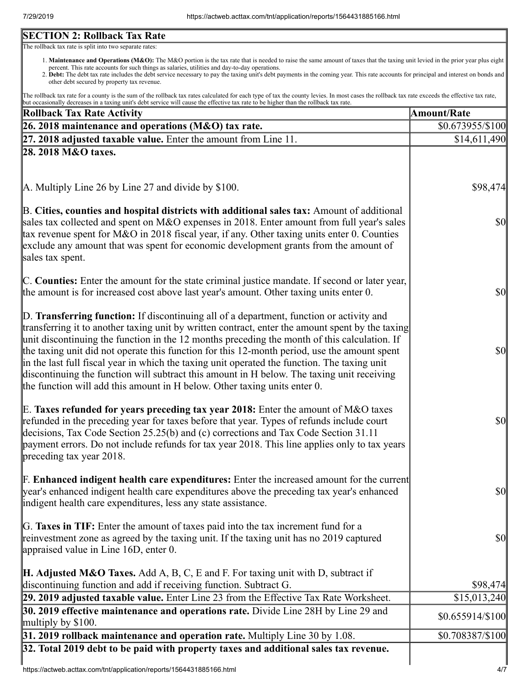# **SECTION 2: Rollback Tax Rate**

The rollback tax rate is split into two separate rates:

- 1. Maintenance and Operations (M&O): The M&O portion is the tax rate that is needed to raise the same amount of taxes that the taxing unit levied in the prior year plus eight percent. This rate accounts for such things as salaries, utilities and day-to-day operations.
- 2. Debt: The debt tax rate includes the debt service necessary to pay the taxing unit's debt payments in the coming year. This rate accounts for principal and interest on bonds and other debt secured by property tax revenue.

The rollback tax rate for a county is the sum of the rollback tax rates calculated for each type of tax the county levies. In most cases the rollback tax rate exceeds the effective tax rate, but occasionally decreases in a taxing unit's debt service will cause the effective tax rate to be higher than the rollback tax rate.

| <b>Rollback Tax Rate Activity</b>                                                                                                                                                                                                                                                                                                                                                                                                                                                                                                                                                                                                                                       | <b>Amount/Rate</b>                  |
|-------------------------------------------------------------------------------------------------------------------------------------------------------------------------------------------------------------------------------------------------------------------------------------------------------------------------------------------------------------------------------------------------------------------------------------------------------------------------------------------------------------------------------------------------------------------------------------------------------------------------------------------------------------------------|-------------------------------------|
| 26. 2018 maintenance and operations ( $M&O$ ) tax rate.                                                                                                                                                                                                                                                                                                                                                                                                                                                                                                                                                                                                                 | \$0.673955/\$100                    |
| $\left 27, 2018\right $ adjusted taxable value. Enter the amount from Line 11.                                                                                                                                                                                                                                                                                                                                                                                                                                                                                                                                                                                          | \$14,611,490                        |
| 28. 2018 M&O taxes.                                                                                                                                                                                                                                                                                                                                                                                                                                                                                                                                                                                                                                                     |                                     |
|                                                                                                                                                                                                                                                                                                                                                                                                                                                                                                                                                                                                                                                                         |                                     |
| $\vert$ A. Multiply Line 26 by Line 27 and divide by \$100.                                                                                                                                                                                                                                                                                                                                                                                                                                                                                                                                                                                                             | \$98,474                            |
| B. Cities, counties and hospital districts with additional sales tax: Amount of additional<br>sales tax collected and spent on M&O expenses in 2018. Enter amount from full year's sales<br>tax revenue spent for M&O in 2018 fiscal year, if any. Other taxing units enter 0. Counties<br>exclude any amount that was spent for economic development grants from the amount of<br>sales tax spent.                                                                                                                                                                                                                                                                     | <b>\$0</b>                          |
| C. Counties: Enter the amount for the state criminal justice mandate. If second or later year,<br>the amount is for increased cost above last year's amount. Other taxing units enter 0.                                                                                                                                                                                                                                                                                                                                                                                                                                                                                | <b>\$0</b>                          |
| D. Transferring function: If discontinuing all of a department, function or activity and<br>transferring it to another taxing unit by written contract, enter the amount spent by the taxing<br>unit discontinuing the function in the 12 months preceding the month of this calculation. If<br>the taxing unit did not operate this function for this 12-month period, use the amount spent<br>in the last full fiscal year in which the taxing unit operated the function. The taxing unit<br>discontinuing the function will subtract this amount in H below. The taxing unit receiving<br>the function will add this amount in H below. Other taxing units enter 0. | <b>\$0</b>                          |
| E. Taxes refunded for years preceding tax year 2018: Enter the amount of M&O taxes<br>refunded in the preceding year for taxes before that year. Types of refunds include court<br>decisions, Tax Code Section 25.25(b) and (c) corrections and Tax Code Section 31.11<br>payment errors. Do not include refunds for tax year 2018. This line applies only to tax years<br>preceding tax year 2018.                                                                                                                                                                                                                                                                     | <b>\$0</b>                          |
| <b>F. Enhanced indigent health care expenditures:</b> Enter the increased amount for the current<br>year's enhanced indigent health care expenditures above the preceding tax year's enhanced<br>indigent health care expenditures, less any state assistance.                                                                                                                                                                                                                                                                                                                                                                                                          | $\vert \mathbf{S} \mathbf{O} \vert$ |
| G. Taxes in TIF: Enter the amount of taxes paid into the tax increment fund for a<br>reinvestment zone as agreed by the taxing unit. If the taxing unit has no 2019 captured<br>appraised value in Line 16D, enter 0.                                                                                                                                                                                                                                                                                                                                                                                                                                                   | $\vert \mathbf{S} \mathbf{O} \vert$ |
| <b>H. Adjusted M&amp;O Taxes.</b> Add A, B, C, E and F. For taxing unit with D, subtract if<br>discontinuing function and add if receiving function. Subtract G.                                                                                                                                                                                                                                                                                                                                                                                                                                                                                                        | \$98,474                            |
| 29. 2019 adjusted taxable value. Enter Line 23 from the Effective Tax Rate Worksheet.                                                                                                                                                                                                                                                                                                                                                                                                                                                                                                                                                                                   | $\overline{$15,013,240}$            |
| <b>30. 2019 effective maintenance and operations rate.</b> Divide Line 28H by Line 29 and<br>multiply by $$100$ .                                                                                                                                                                                                                                                                                                                                                                                                                                                                                                                                                       | $$0.655914/\$100$                   |
| $31.2019$ rollback maintenance and operation rate. Multiply Line 30 by 1.08.                                                                                                                                                                                                                                                                                                                                                                                                                                                                                                                                                                                            | \$0.708387/\$100                    |
| 32. Total 2019 debt to be paid with property taxes and additional sales tax revenue.                                                                                                                                                                                                                                                                                                                                                                                                                                                                                                                                                                                    |                                     |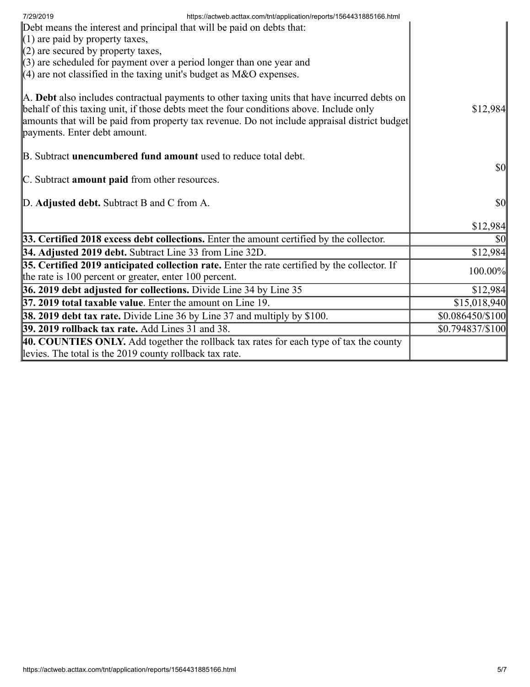| 7/29/2019<br>https://actweb.acttax.com/tnt/application/reports/1564431885166.html                                                                                                                                                                                                                                        |                                     |
|--------------------------------------------------------------------------------------------------------------------------------------------------------------------------------------------------------------------------------------------------------------------------------------------------------------------------|-------------------------------------|
| Debt means the interest and principal that will be paid on debts that:                                                                                                                                                                                                                                                   |                                     |
| $(1)$ are paid by property taxes,                                                                                                                                                                                                                                                                                        |                                     |
| $(2)$ are secured by property taxes,                                                                                                                                                                                                                                                                                     |                                     |
| $(3)$ are scheduled for payment over a period longer than one year and                                                                                                                                                                                                                                                   |                                     |
| $(4)$ are not classified in the taxing unit's budget as M&O expenses.                                                                                                                                                                                                                                                    |                                     |
| A. Debt also includes contractual payments to other taxing units that have incurred debts on<br>behalf of this taxing unit, if those debts meet the four conditions above. Include only<br>amounts that will be paid from property tax revenue. Do not include appraisal district budget<br>payments. Enter debt amount. | \$12,984                            |
| B. Subtract <b>unencumbered fund amount</b> used to reduce total debt.                                                                                                                                                                                                                                                   |                                     |
|                                                                                                                                                                                                                                                                                                                          | $\vert \mathbf{S} \mathbf{O} \vert$ |
| C. Subtract amount paid from other resources.                                                                                                                                                                                                                                                                            |                                     |
|                                                                                                                                                                                                                                                                                                                          |                                     |
| D. Adjusted debt. Subtract B and C from A.                                                                                                                                                                                                                                                                               | $\vert \mathbf{S} \mathbf{0} \vert$ |
|                                                                                                                                                                                                                                                                                                                          | \$12,984                            |
| 33. Certified 2018 excess debt collections. Enter the amount certified by the collector.                                                                                                                                                                                                                                 | \$0                                 |
| 34. Adjusted 2019 debt. Subtract Line 33 from Line 32D.                                                                                                                                                                                                                                                                  | \$12,984                            |
| 35. Certified 2019 anticipated collection rate. Enter the rate certified by the collector. If                                                                                                                                                                                                                            | 100.00%                             |
| the rate is 100 percent or greater, enter 100 percent.                                                                                                                                                                                                                                                                   |                                     |
| 36. 2019 debt adjusted for collections. Divide Line 34 by Line 35                                                                                                                                                                                                                                                        | \$12,984                            |
| 37. 2019 total taxable value. Enter the amount on Line 19.                                                                                                                                                                                                                                                               | \$15,018,940                        |
| 38. 2019 debt tax rate. Divide Line 36 by Line 37 and multiply by \$100.                                                                                                                                                                                                                                                 | \$0.086450/\$100                    |
| 39. 2019 rollback tax rate. Add Lines 31 and 38.                                                                                                                                                                                                                                                                         | \$0.794837/\$100                    |
| 40. COUNTIES ONLY. Add together the rollback tax rates for each type of tax the county                                                                                                                                                                                                                                   |                                     |
| levies. The total is the 2019 county rollback tax rate.                                                                                                                                                                                                                                                                  |                                     |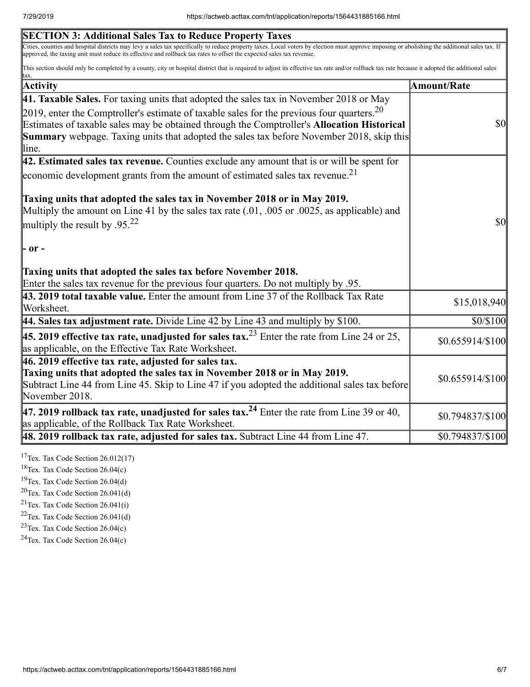| Cities, counties and hospital districts may levy a sales tax specifically to reduce property taxes. Local voters by election must approve imposing or abolishing the additional sales tax. If                                                                                                                                                                                                         |                               |
|-------------------------------------------------------------------------------------------------------------------------------------------------------------------------------------------------------------------------------------------------------------------------------------------------------------------------------------------------------------------------------------------------------|-------------------------------|
| approved, the taxing unit must reduce its effective and rollback tax rates to offset the expected sales tax revenue.                                                                                                                                                                                                                                                                                  |                               |
| This section should only be completed by a county, city or hospital district that is required to adjust its effective tax rate and/or rollback tax rate because it adopted the additional sales<br>ltax.                                                                                                                                                                                              |                               |
| <b>Activity</b>                                                                                                                                                                                                                                                                                                                                                                                       | <b>Amount/Rate</b>            |
| 41. Taxable Sales. For taxing units that adopted the sales tax in November 2018 or May                                                                                                                                                                                                                                                                                                                |                               |
| [2019, enter the Comptroller's estimate of taxable sales for the previous four quarters. <sup>20</sup><br>Estimates of taxable sales may be obtained through the Comptroller's Allocation Historical<br><b>Summary</b> webpage. Taxing units that adopted the sales tax before November 2018, skip this<br>line.                                                                                      | $\boldsymbol{S}$ <sub>0</sub> |
| $\vert$ 42. Estimated sales tax revenue. Counties exclude any amount that is or will be spent for                                                                                                                                                                                                                                                                                                     |                               |
| economic development grants from the amount of estimated sales tax revenue. <sup>21</sup>                                                                                                                                                                                                                                                                                                             |                               |
| Taxing units that adopted the sales tax in November 2018 or in May 2019.<br>Multiply the amount on Line 41 by the sales tax rate $(.01, .005)$ or $.0025$ , as applicable) and<br>multiply the result by .95. <sup>22</sup><br>$\mathbf{r}$ -<br>Taxing units that adopted the sales tax before November 2018.<br>Enter the sales tax revenue for the previous four quarters. Do not multiply by .95. | <b>\$0</b>                    |
| 43. 2019 total taxable value. Enter the amount from Line 37 of the Rollback Tax Rate<br>Worksheet.                                                                                                                                                                                                                                                                                                    | \$15,018,940                  |
| 44. Sales tax adjustment rate. Divide Line 42 by Line 43 and multiply by $$100$ .                                                                                                                                                                                                                                                                                                                     | \$0/\$100                     |
| <b>45. 2019 effective tax rate, unadjusted for sales tax.</b> <sup>23</sup> Enter the rate from Line 24 or 25,<br>as applicable, on the Effective Tax Rate Worksheet.                                                                                                                                                                                                                                 | \$0.655914/\$100              |
| $ 46.2019$ effective tax rate, adjusted for sales tax.<br>Taxing units that adopted the sales tax in November 2018 or in May 2019.<br>Subtract Line 44 from Line 45. Skip to Line 47 if you adopted the additional sales tax before<br>November 2018.                                                                                                                                                 | \$0.655914/\$100              |
| 47. 2019 rollback tax rate, unadjusted for sales tax. <sup>24</sup> Enter the rate from Line 39 or 40,<br>as applicable, of the Rollback Tax Rate Worksheet.                                                                                                                                                                                                                                          | \$0.794837/\$100              |
| $\vert$ 48. 2019 rollback tax rate, adjusted for sales tax. Subtract Line 44 from Line 47.                                                                                                                                                                                                                                                                                                            | \$0.794837/\$100              |

 $17$ Tex. Tax Code Section 26.012(17)

<sup>18</sup>Tex. Tax Code Section  $26.04(c)$ 

<sup>19</sup>Tex. Tax Code Section 26.04(d)

 $20$ Tex. Tax Code Section 26.041(d)

 $21$ Tex. Tax Code Section 26.041(i)

 $22$ Tex. Tax Code Section 26.041(d)

<sup>23</sup>Tex. Tax Code Section  $26.04(c)$ 

 $24$ Tex. Tax Code Section 26.04(c)